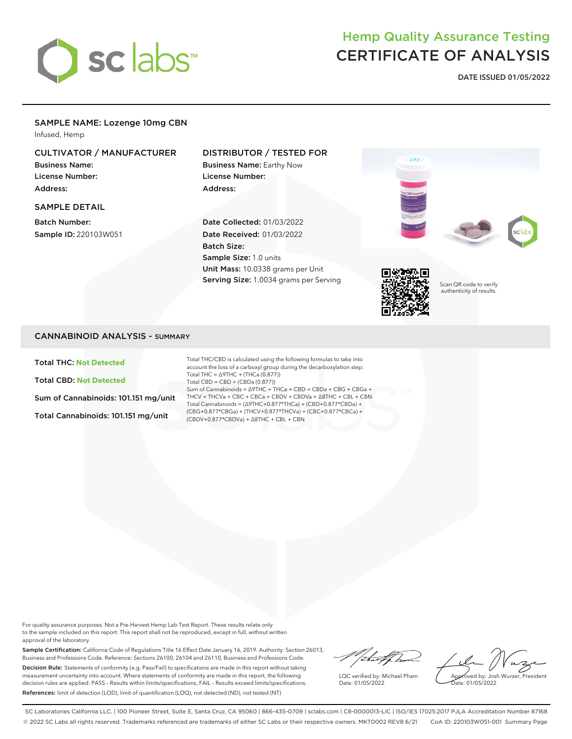

# Hemp Quality Assurance Testing CERTIFICATE OF ANALYSIS

**DATE ISSUED 01/05/2022**

# SAMPLE NAME: Lozenge 10mg CBN

Infused, Hemp

# CULTIVATOR / MANUFACTURER

Business Name: License Number: Address:

#### SAMPLE DETAIL

Batch Number: Sample ID: 220103W051

## DISTRIBUTOR / TESTED FOR

Business Name: Earthy Now License Number: Address:

Date Collected: 01/03/2022 Date Received: 01/03/2022 Batch Size: Sample Size: 1.0 units Unit Mass: 10.0338 grams per Unit Serving Size: 1.0034 grams per Serving







Scan QR code to verify authenticity of results.

## CANNABINOID ANALYSIS - SUMMARY

Total THC: **Not Detected**

Total CBD: **Not Detected**

Sum of Cannabinoids: 101.151 mg/unit

Total Cannabinoids: 101.151 mg/unit

Total THC/CBD is calculated using the following formulas to take into account the loss of a carboxyl group during the decarboxylation step: Total THC = ∆9THC + (THCa (0.877)) Total CBD = CBD + (CBDa (0.877)) Sum of Cannabinoids = ∆9THC + THCa + CBD + CBDa + CBG + CBGa + THCV + THCVa + CBC + CBCa + CBDV + CBDVa + ∆8THC + CBL + CBN Total Cannabinoids = (∆9THC+0.877\*THCa) + (CBD+0.877\*CBDa) + (CBG+0.877\*CBGa) + (THCV+0.877\*THCVa) + (CBC+0.877\*CBCa) + (CBDV+0.877\*CBDVa) + ∆8THC + CBL + CBN

For quality assurance purposes. Not a Pre-Harvest Hemp Lab Test Report. These results relate only to the sample included on this report. This report shall not be reproduced, except in full, without written approval of the laboratory.

Sample Certification: California Code of Regulations Title 16 Effect Date January 16, 2019. Authority: Section 26013, Business and Professions Code. Reference: Sections 26100, 26104 and 26110, Business and Professions Code. Decision Rule: Statements of conformity (e.g. Pass/Fail) to specifications are made in this report without taking measurement uncertainty into account. Where statements of conformity are made in this report, the following decision rules are applied: PASS – Results within limits/specifications, FAIL – Results exceed limits/specifications. References: limit of detection (LOD), limit of quantification (LOQ), not detected (ND), not tested (NT)

/ital/fha

LQC verified by: Michael Pham Date: 01/05/2022

Approved by: Josh Wurzer, President Date: 01/05/2022

SC Laboratories California LLC. | 100 Pioneer Street, Suite E, Santa Cruz, CA 95060 | 866-435-0709 | sclabs.com | C8-0000013-LIC | ISO/IES 17025:2017 PJLA Accreditation Number 87168 © 2022 SC Labs all rights reserved. Trademarks referenced are trademarks of either SC Labs or their respective owners. MKT0002 REV8 6/21 CoA ID: 220103W051-001 Summary Page